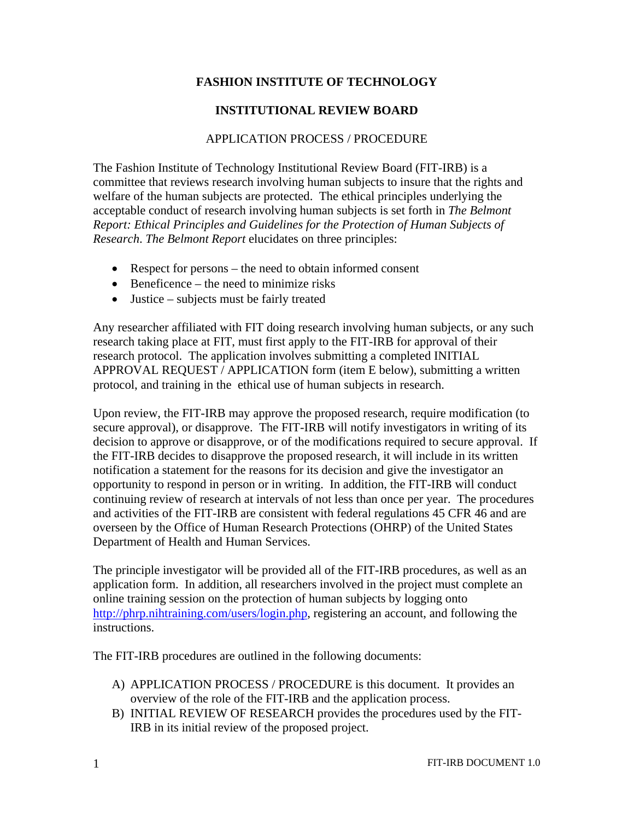## **FASHION INSTITUTE OF TECHNOLOGY**

## **INSTITUTIONAL REVIEW BOARD**

## APPLICATION PROCESS / PROCEDURE

The Fashion Institute of Technology Institutional Review Board (FIT-IRB) is a committee that reviews research involving human subjects to insure that the rights and welfare of the human subjects are protected. The ethical principles underlying the acceptable conduct of research involving human subjects is set forth in *The Belmont Report: Ethical Principles and Guidelines for the Protection of Human Subjects of Research*. *The Belmont Report* elucidates on three principles:

- Respect for persons the need to obtain informed consent
- Beneficence the need to minimize risks
- Justice subjects must be fairly treated

Any researcher affiliated with FIT doing research involving human subjects, or any such research taking place at FIT, must first apply to the FIT-IRB for approval of their research protocol. The application involves submitting a completed INITIAL APPROVAL REQUEST / APPLICATION form (item E below), submitting a written protocol, and training in the ethical use of human subjects in research.

Upon review, the FIT-IRB may approve the proposed research, require modification (to secure approval), or disapprove. The FIT-IRB will notify investigators in writing of its decision to approve or disapprove, or of the modifications required to secure approval. If the FIT-IRB decides to disapprove the proposed research, it will include in its written notification a statement for the reasons for its decision and give the investigator an opportunity to respond in person or in writing. In addition, the FIT-IRB will conduct continuing review of research at intervals of not less than once per year. The procedures and activities of the FIT-IRB are consistent with federal regulations 45 CFR 46 and are overseen by the Office of Human Research Protections (OHRP) of the United States Department of Health and Human Services.

The principle investigator will be provided all of the FIT-IRB procedures, as well as an application form. In addition, all researchers involved in the project must complete an online training session on the protection of human subjects by logging onto http://phrp.nihtraining.com/users/login.php, registering an account, and following the instructions.

The FIT-IRB procedures are outlined in the following documents:

- A) APPLICATION PROCESS / PROCEDURE is this document. It provides an overview of the role of the FIT-IRB and the application process.
- B) INITIAL REVIEW OF RESEARCH provides the procedures used by the FIT-IRB in its initial review of the proposed project.